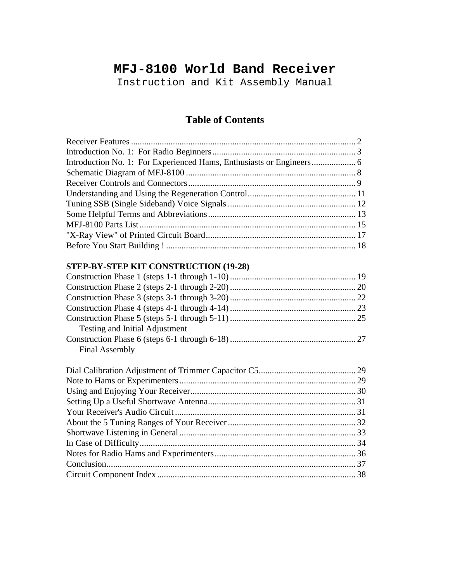# **MFJ-8100 World Band Receiver**

Instruction and Kit Assembly Manual

## **Table of Contents**

## **STEP-BY-STEP KIT CONSTRUCTION (19-28)**

| Testing and Initial Adjustment |  |  |
|--------------------------------|--|--|
|                                |  |  |
| <b>Final Assembly</b>          |  |  |
|                                |  |  |
|                                |  |  |
|                                |  |  |
|                                |  |  |
|                                |  |  |
|                                |  |  |
|                                |  |  |
|                                |  |  |
|                                |  |  |
|                                |  |  |

Circuit Component Index .......................................................................................... 38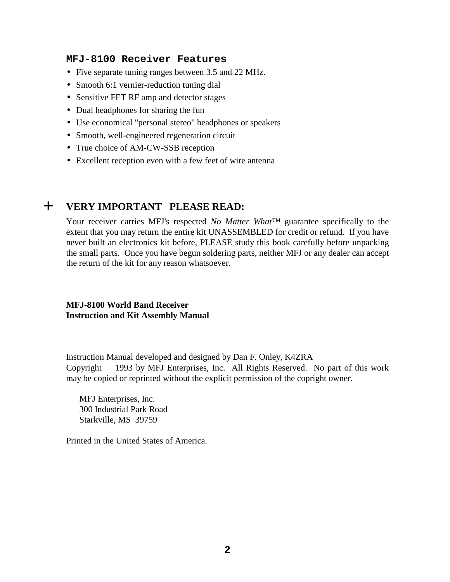### **MFJ-8100 Receiver Features**

- Five separate tuning ranges between 3.5 and 22 MHz.
- Smooth 6:1 vernier-reduction tuning dial
- Sensitive FET RF amp and detector stages
- Dual headphones for sharing the fun
- Use economical "personal stereo" headphones or speakers
- Smooth, well-engineered regeneration circuit
- True choice of AM-CW-SSB reception
- Excellent reception even with a few feet of wire antenna

## + **VERY IMPORTANT PLEASE READ:**

Your receiver carries MFJ's respected *No Matter What™* guarantee specifically to the extent that you may return the entire kit UNASSEMBLED for credit or refund. If you have never built an electronics kit before, PLEASE study this book carefully before unpacking the small parts. Once you have begun soldering parts, neither MFJ or any dealer can accept the return of the kit for any reason whatsoever.

### **MFJ-8100 World Band Receiver Instruction and Kit Assembly Manual**

Instruction Manual developed and designed by Dan F. Onley, K4ZRA Copyright  $\odot$  1993 by MFJ Enterprises, Inc. All Rights Reserved. No part of this work may be copied or reprinted without the explicit permission of the copright owner.

MFJ Enterprises, Inc. 300 Industrial Park Road Starkville, MS 39759

Printed in the United States of America.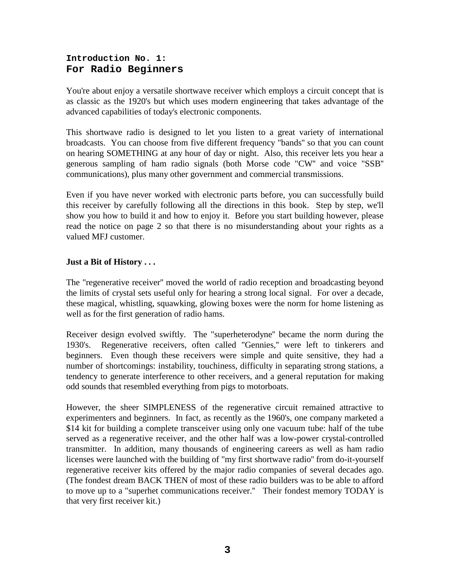## **Introduction No. 1: For Radio Beginners**

You're about enjoy a versatile shortwave receiver which employs a circuit concept that is as classic as the 1920's but which uses modern engineering that takes advantage of the advanced capabilities of today's electronic components.

This shortwave radio is designed to let you listen to a great variety of international broadcasts. You can choose from five different frequency "bands'' so that you can count on hearing SOMETHING at any hour of day or night. Also, this receiver lets you hear a generous sampling of ham radio signals (both Morse code "CW'' and voice "SSB'' communications), plus many other government and commercial transmissions.

Even if you have never worked with electronic parts before, you can successfully build this receiver by carefully following all the directions in this book. Step by step, we'll show you how to build it and how to enjoy it. Before you start building however, please read the notice on page 2 so that there is no misunderstanding about your rights as a valued MFJ customer.

## **Just a Bit of History . . .**

The "regenerative receiver'' moved the world of radio reception and broadcasting beyond the limits of crystal sets useful only for hearing a strong local signal. For over a decade, these magical, whistling, squawking, glowing boxes were the norm for home listening as well as for the first generation of radio hams.

Receiver design evolved swiftly. The "superheterodyne'' became the norm during the 1930's. Regenerative receivers, often called "Gennies,'' were left to tinkerers and beginners. Even though these receivers were simple and quite sensitive, they had a number of shortcomings: instability, touchiness, difficulty in separating strong stations, a tendency to generate interference to other receivers, and a general reputation for making odd sounds that resembled everything from pigs to motorboats.

However, the sheer SIMPLENESS of the regenerative circuit remained attractive to experimenters and beginners. In fact, as recently as the 1960's, one company marketed a \$14 kit for building a complete transceiver using only one vacuum tube: half of the tube served as a regenerative receiver, and the other half was a low-power crystal-controlled transmitter. In addition, many thousands of engineering careers as well as ham radio licenses were launched with the building of "my first shortwave radio'' from do-it-yourself regenerative receiver kits offered by the major radio companies of several decades ago. (The fondest dream BACK THEN of most of these radio builders was to be able to afford to move up to a "superhet communications receiver.'' Their fondest memory TODAY is that very first receiver kit.)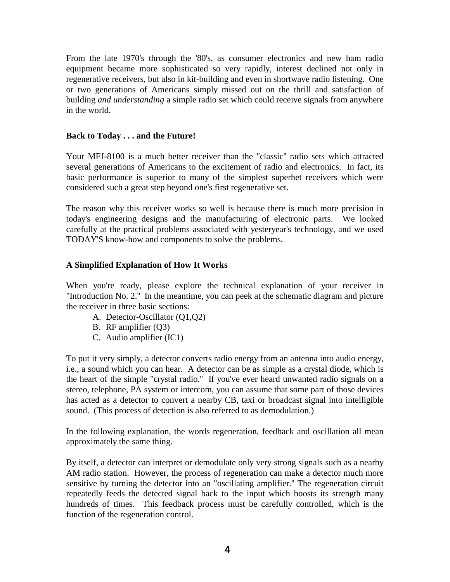From the late 1970's through the '80's, as consumer electronics and new ham radio equipment became more sophisticated so very rapidly, interest declined not only in regenerative receivers, but also in kit-building and even in shortwave radio listening. One or two generations of Americans simply missed out on the thrill and satisfaction of building *and understanding* a simple radio set which could receive signals from anywhere in the world.

### **Back to Today . . . and the Future!**

Your MFJ-8100 is a much better receiver than the "classic'' radio sets which attracted several generations of Americans to the excitement of radio and electronics. In fact, its basic performance is superior to many of the simplest superhet receivers which were considered such a great step beyond one's first regenerative set.

The reason why this receiver works so well is because there is much more precision in today's engineering designs and the manufacturing of electronic parts. We looked carefully at the practical problems associated with yesteryear's technology, and we used TODAY'S know-how and components to solve the problems.

### **A Simplified Explanation of How It Works**

When you're ready, please explore the technical explanation of your receiver in "Introduction No. 2.'' In the meantime, you can peek at the schematic diagram and picture the receiver in three basic sections:

- A. Detector-Oscillator (Q1,Q2)
- B. RF amplifier (Q3)
- C. Audio amplifier (IC1)

To put it very simply, a detector converts radio energy from an antenna into audio energy, i.e., a sound which you can hear. A detector can be as simple as a crystal diode, which is the heart of the simple "crystal radio.'' If you've ever heard unwanted radio signals on a stereo, telephone, PA system or intercom, you can assume that some part of those devices has acted as a detector to convert a nearby CB, taxi or broadcast signal into intelligible sound. (This process of detection is also referred to as demodulation.)

In the following explanation, the words regeneration, feedback and oscillation all mean approximately the same thing.

By itself, a detector can interpret or demodulate only very strong signals such as a nearby AM radio station. However, the process of regeneration can make a detector much more sensitive by turning the detector into an "oscillating amplifier.'' The regeneration circuit repeatedly feeds the detected signal back to the input which boosts its strength many hundreds of times. This feedback process must be carefully controlled, which is the function of the regeneration control.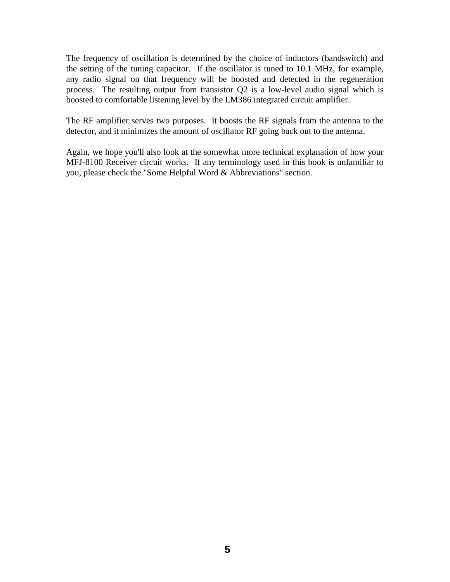The frequency of oscillation is determined by the choice of inductors (bandswitch) and the setting of the tuning capacitor. If the oscillator is tuned to 10.1 MHz, for example, any radio signal on that frequency will be boosted and detected in the regeneration process. The resulting output from transistor Q2 is a low-level audio signal which is boosted to comfortable listening level by the LM386 integrated circuit amplifier.

The RF amplifier serves two purposes. It boosts the RF signals from the antenna to the detector, and it minimizes the amount of oscillator RF going back out to the antenna.

Again, we hope you'll also look at the somewhat more technical explanation of how your MFJ-8100 Receiver circuit works. If any terminology used in this book is unfamiliar to you, please check the "Some Helpful Word & Abbreviations" section.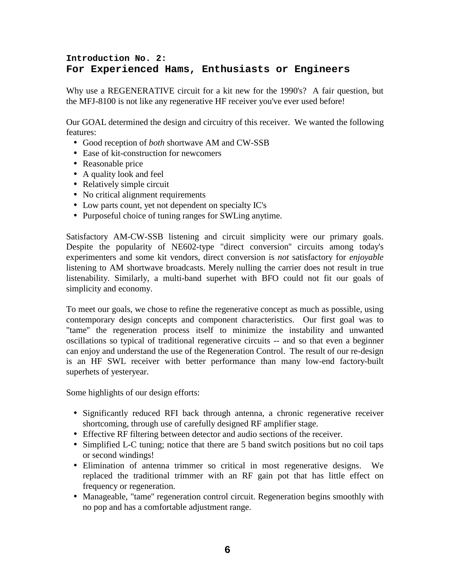## **Introduction No. 2: For Experienced Hams, Enthusiasts or Engineers**

Why use a REGENERATIVE circuit for a kit new for the 1990's? A fair question, but the MFJ-8100 is not like any regenerative HF receiver you've ever used before!

Our GOAL determined the design and circuitry of this receiver. We wanted the following features:

- Good reception of *both* shortwave AM and CW-SSB
- Ease of kit-construction for newcomers
- Reasonable price
- A quality look and feel
- Relatively simple circuit
- No critical alignment requirements
- Low parts count, yet not dependent on specialty IC's
- Purposeful choice of tuning ranges for SWLing anytime.

Satisfactory AM-CW-SSB listening and circuit simplicity were our primary goals. Despite the popularity of NE602-type "direct conversion'' circuits among today's experimenters and some kit vendors, direct conversion is *not* satisfactory for *enjoyable* listening to AM shortwave broadcasts. Merely nulling the carrier does not result in true listenability. Similarly, a multi-band superhet with BFO could not fit our goals of simplicity and economy.

To meet our goals, we chose to refine the regenerative concept as much as possible, using contemporary design concepts and component characteristics. Our first goal was to "tame'' the regeneration process itself to minimize the instability and unwanted oscillations so typical of traditional regenerative circuits -- and so that even a beginner can enjoy and understand the use of the Regeneration Control. The result of our re-design is an HF SWL receiver with better performance than many low-end factory-built superhets of yesteryear.

Some highlights of our design efforts:

- Significantly reduced RFI back through antenna, a chronic regenerative receiver shortcoming, through use of carefully designed RF amplifier stage.
- Effective RF filtering between detector and audio sections of the receiver.
- Simplified L-C tuning; notice that there are 5 band switch positions but no coil taps or second windings!
- Elimination of antenna trimmer so critical in most regenerative designs. We replaced the traditional trimmer with an RF gain pot that has little effect on frequency or regeneration.
- Manageable, "tame'' regeneration control circuit. Regeneration begins smoothly with no pop and has a comfortable adjustment range.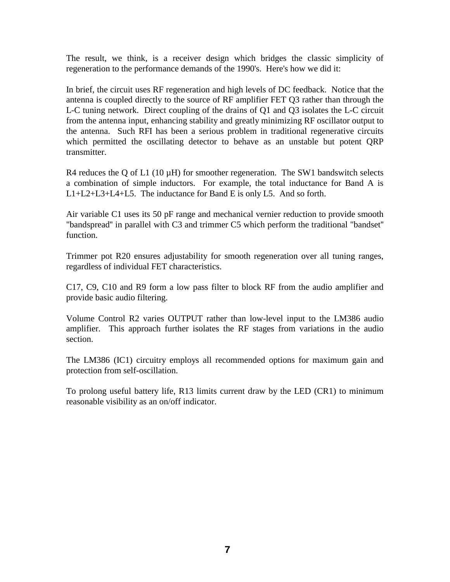The result, we think, is a receiver design which bridges the classic simplicity of regeneration to the performance demands of the 1990's. Here's how we did it:

In brief, the circuit uses RF regeneration and high levels of DC feedback. Notice that the antenna is coupled directly to the source of RF amplifier FET Q3 rather than through the L-C tuning network. Direct coupling of the drains of Q1 and Q3 isolates the L-C circuit from the antenna input, enhancing stability and greatly minimizing RF oscillator output to the antenna. Such RFI has been a serious problem in traditional regenerative circuits which permitted the oscillating detector to behave as an unstable but potent QRP transmitter.

R4 reduces the Q of L1 (10  $\mu$ H) for smoother regeneration. The SW1 bandswitch selects a combination of simple inductors. For example, the total inductance for Band A is L1+L2+L3+L4+L5. The inductance for Band E is only L5. And so forth.

Air variable C1 uses its 50 pF range and mechanical vernier reduction to provide smooth "bandspread'' in parallel with C3 and trimmer C5 which perform the traditional "bandset'' function.

Trimmer pot R20 ensures adjustability for smooth regeneration over all tuning ranges, regardless of individual FET characteristics.

C17, C9, C10 and R9 form a low pass filter to block RF from the audio amplifier and provide basic audio filtering.

Volume Control R2 varies OUTPUT rather than low-level input to the LM386 audio amplifier. This approach further isolates the RF stages from variations in the audio section.

The LM386 (IC1) circuitry employs all recommended options for maximum gain and protection from self-oscillation.

To prolong useful battery life, R13 limits current draw by the LED (CR1) to minimum reasonable visibility as an on/off indicator.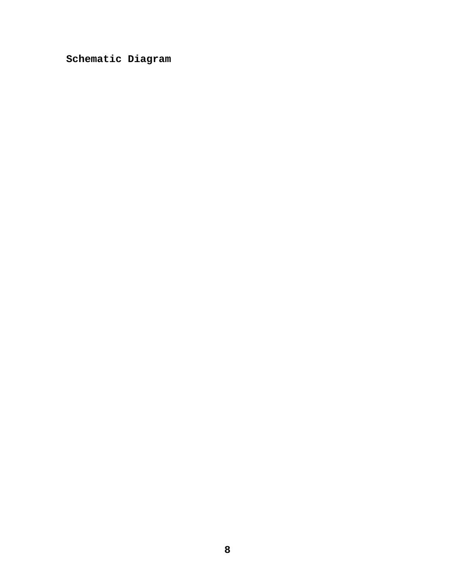**Schematic Diagram**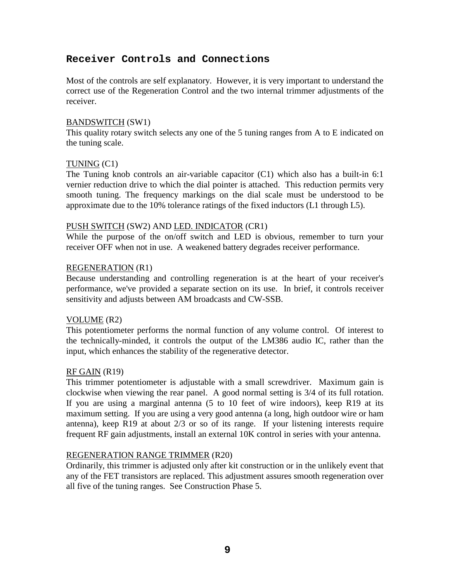## **Receiver Controls and Connections**

Most of the controls are self explanatory. However, it is very important to understand the correct use of the Regeneration Control and the two internal trimmer adjustments of the receiver.

#### BANDSWITCH (SW1)

This quality rotary switch selects any one of the 5 tuning ranges from A to E indicated on the tuning scale.

#### TUNING (C1)

The Tuning knob controls an air-variable capacitor  $(C1)$  which also has a built-in 6:1 vernier reduction drive to which the dial pointer is attached. This reduction permits very smooth tuning. The frequency markings on the dial scale must be understood to be approximate due to the 10% tolerance ratings of the fixed inductors (L1 through L5).

#### PUSH SWITCH (SW2) AND LED. INDICATOR (CR1)

While the purpose of the on/off switch and LED is obvious, remember to turn your receiver OFF when not in use. A weakened battery degrades receiver performance.

### REGENERATION (R1)

Because understanding and controlling regeneration is at the heart of your receiver's performance, we've provided a separate section on its use. In brief, it controls receiver sensitivity and adjusts between AM broadcasts and CW-SSB.

#### VOLUME (R2)

This potentiometer performs the normal function of any volume control. Of interest to the technically-minded, it controls the output of the LM386 audio IC, rather than the input, which enhances the stability of the regenerative detector.

#### RF GAIN (R19)

This trimmer potentiometer is adjustable with a small screwdriver. Maximum gain is clockwise when viewing the rear panel. A good normal setting is 3/4 of its full rotation. If you are using a marginal antenna (5 to 10 feet of wire indoors), keep R19 at its maximum setting. If you are using a very good antenna (a long, high outdoor wire or ham antenna), keep R19 at about 2/3 or so of its range. If your listening interests require frequent RF gain adjustments, install an external 10K control in series with your antenna.

#### REGENERATION RANGE TRIMMER (R20)

Ordinarily, this trimmer is adjusted only after kit construction or in the unlikely event that any of the FET transistors are replaced. This adjustment assures smooth regeneration over all five of the tuning ranges. See Construction Phase 5.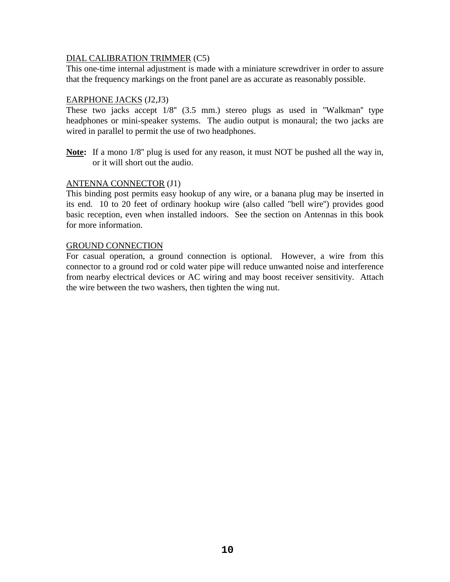### DIAL CALIBRATION TRIMMER (C5)

This one-time internal adjustment is made with a miniature screwdriver in order to assure that the frequency markings on the front panel are as accurate as reasonably possible.

### EARPHONE JACKS (J2,J3)

These two jacks accept 1/8'' (3.5 mm.) stereo plugs as used in "Walkman'' type headphones or mini-speaker systems. The audio output is monaural; the two jacks are wired in parallel to permit the use of two headphones.

**Note:** If a mono 1/8'' plug is used for any reason, it must NOT be pushed all the way in, or it will short out the audio.

### ANTENNA CONNECTOR (J1)

This binding post permits easy hookup of any wire, or a banana plug may be inserted in its end. 10 to 20 feet of ordinary hookup wire (also called "bell wire'') provides good basic reception, even when installed indoors. See the section on Antennas in this book for more information.

#### GROUND CONNECTION

For casual operation, a ground connection is optional. However, a wire from this connector to a ground rod or cold water pipe will reduce unwanted noise and interference from nearby electrical devices or AC wiring and may boost receiver sensitivity. Attach the wire between the two washers, then tighten the wing nut.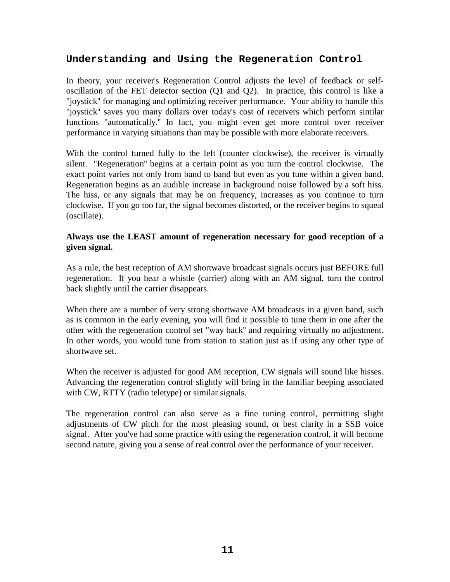## **Understanding and Using the Regeneration Control**

In theory, your receiver's Regeneration Control adjusts the level of feedback or selfoscillation of the FET detector section (Q1 and Q2). In practice, this control is like a "joystick'' for managing and optimizing receiver performance. Your ability to handle this "joystick'' saves you many dollars over today's cost of receivers which perform similar functions "automatically.'' In fact, you might even get more control over receiver performance in varying situations than may be possible with more elaborate receivers.

With the control turned fully to the left (counter clockwise), the receiver is virtually silent. "Regeneration'' begins at a certain point as you turn the control clockwise. The exact point varies not only from band to band but even as you tune within a given band. Regeneration begins as an audible increase in background noise followed by a soft hiss. The hiss, or any signals that may be on frequency, increases as you continue to turn clockwise. If you go too far, the signal becomes distorted, or the receiver begins to squeal (oscillate).

## **Always use the LEAST amount of regeneration necessary for good reception of a given signal.**

As a rule, the best reception of AM shortwave broadcast signals occurs just BEFORE full regeneration. If you hear a whistle (carrier) along with an AM signal, turn the control back slightly until the carrier disappears.

When there are a number of very strong shortwave AM broadcasts in a given band, such as is common in the early evening, you will find it possible to tune them in one after the other with the regeneration control set "way back'' and requiring virtually no adjustment. In other words, you would tune from station to station just as if using any other type of shortwave set.

When the receiver is adjusted for good AM reception, CW signals will sound like hisses. Advancing the regeneration control slightly will bring in the familiar beeping associated with CW, RTTY (radio teletype) or similar signals.

The regeneration control can also serve as a fine tuning control, permitting slight adjustments of CW pitch for the most pleasing sound, or best clarity in a SSB voice signal. After you've had some practice with using the regeneration control, it will become second nature, giving you a sense of real control over the performance of your receiver.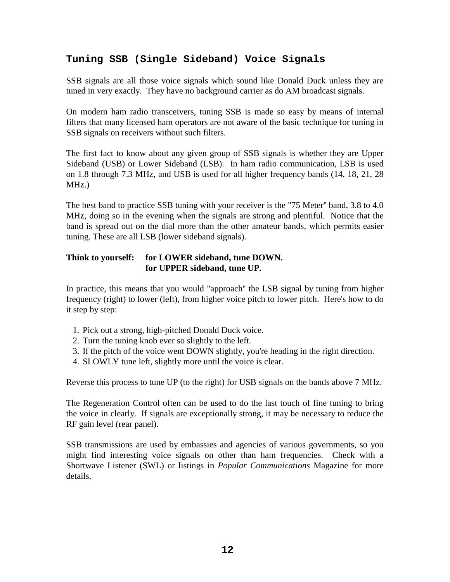## **Tuning SSB (Single Sideband) Voice Signals**

SSB signals are all those voice signals which sound like Donald Duck unless they are tuned in very exactly. They have no background carrier as do AM broadcast signals.

On modern ham radio transceivers, tuning SSB is made so easy by means of internal filters that many licensed ham operators are not aware of the basic technique for tuning in SSB signals on receivers without such filters.

The first fact to know about any given group of SSB signals is whether they are Upper Sideband (USB) or Lower Sideband (LSB). In ham radio communication, LSB is used on 1.8 through 7.3 MHz, and USB is used for all higher frequency bands (14, 18, 21, 28 MHz.)

The best band to practice SSB tuning with your receiver is the "75 Meter'' band, 3.8 to 4.0 MHz, doing so in the evening when the signals are strong and plentiful. Notice that the band is spread out on the dial more than the other amateur bands, which permits easier tuning. These are all LSB (lower sideband signals).

### **Think to yourself: for LOWER sideband, tune DOWN. for UPPER sideband, tune UP.**

In practice, this means that you would "approach'' the LSB signal by tuning from higher frequency (right) to lower (left), from higher voice pitch to lower pitch. Here's how to do it step by step:

- 1. Pick out a strong, high-pitched Donald Duck voice.
- 2. Turn the tuning knob ever so slightly to the left.
- 3. If the pitch of the voice went DOWN slightly, you're heading in the right direction.
- 4. SLOWLY tune left, slightly more until the voice is clear.

Reverse this process to tune UP (to the right) for USB signals on the bands above 7 MHz.

The Regeneration Control often can be used to do the last touch of fine tuning to bring the voice in clearly. If signals are exceptionally strong, it may be necessary to reduce the RF gain level (rear panel).

SSB transmissions are used by embassies and agencies of various governments, so you might find interesting voice signals on other than ham frequencies. Check with a Shortwave Listener (SWL) or listings in *Popular Communications* Magazine for more details.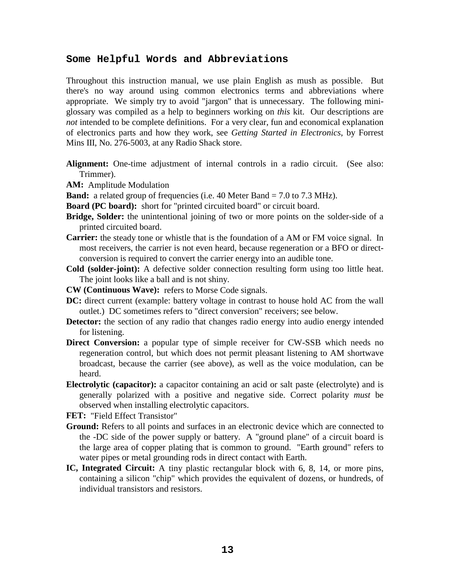### **Some Helpful Words and Abbreviations**

Throughout this instruction manual, we use plain English as mush as possible. But there's no way around using common electronics terms and abbreviations where appropriate. We simply try to avoid "jargon" that is unnecessary. The following miniglossary was compiled as a help to beginners working on *this* kit. Our descriptions are *not* intended to be complete definitions. For a very clear, fun and economical explanation of electronics parts and how they work, see *Getting Started in Electronics*, by Forrest Mins III, No. 276-5003, at any Radio Shack store.

- **Alignment:** One-time adjustment of internal controls in a radio circuit. (See also: Trimmer).
- **AM:** Amplitude Modulation
- **Band:** a related group of frequencies (i.e. 40 Meter Band = 7.0 to 7.3 MHz).
- **Board (PC board):** short for "printed circuited board" or circuit board.
- **Bridge, Solder:** the unintentional joining of two or more points on the solder-side of a printed circuited board.
- **Carrier:** the steady tone or whistle that is the foundation of a AM or FM voice signal. In most receivers, the carrier is not even heard, because regeneration or a BFO or directconversion is required to convert the carrier energy into an audible tone.
- **Cold (solder-joint):** A defective solder connection resulting form using too little heat. The joint looks like a ball and is not shiny.
- **CW (Continuous Wave):** refers to Morse Code signals.
- **DC:** direct current (example: battery voltage in contrast to house hold AC from the wall outlet.) DC sometimes refers to "direct conversion" receivers; see below.
- **Detector:** the section of any radio that changes radio energy into audio energy intended for listening.
- **Direct Conversion:** a popular type of simple receiver for CW-SSB which needs no regeneration control, but which does not permit pleasant listening to AM shortwave broadcast, because the carrier (see above), as well as the voice modulation, can be heard.
- **Electrolytic (capacitor):** a capacitor containing an acid or salt paste (electrolyte) and is generally polarized with a positive and negative side. Correct polarity *must* be observed when installing electrolytic capacitors.

**FET:** "Field Effect Transistor"

- **Ground:** Refers to all points and surfaces in an electronic device which are connected to the -DC side of the power supply or battery. A "ground plane" of a circuit board is the large area of copper plating that is common to ground. "Earth ground" refers to water pipes or metal grounding rods in direct contact with Earth.
- **IC, Integrated Circuit:** A tiny plastic rectangular block with 6, 8, 14, or more pins, containing a silicon "chip" which provides the equivalent of dozens, or hundreds, of individual transistors and resistors.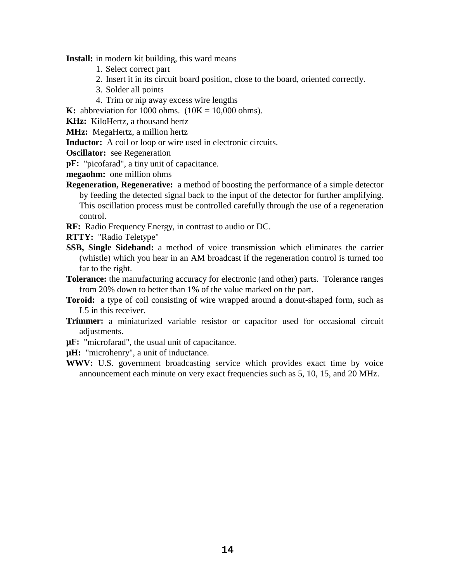**Install:** in modern kit building, this ward means

- 1. Select correct part
- 2. Insert it in its circuit board position, close to the board, oriented correctly.
- 3. Solder all points
- 4. Trim or nip away excess wire lengths

**K:** abbreviation for 1000 ohms.  $(10K = 10,000)$  ohms).

**KHz:** KiloHertz, a thousand hertz

**MHz:** MegaHertz, a million hertz

**Inductor:** A coil or loop or wire used in electronic circuits.

- **Oscillator:** see Regeneration
- **pF:** "picofarad", a tiny unit of capacitance.

**megaohm:** one million ohms

- **Regeneration, Regenerative:** a method of boosting the performance of a simple detector by feeding the detected signal back to the input of the detector for further amplifying. This oscillation process must be controlled carefully through the use of a regeneration control.
- **RF:** Radio Frequency Energy, in contrast to audio or DC.

**RTTY:** "Radio Teletype"

- **SSB, Single Sideband:** a method of voice transmission which eliminates the carrier (whistle) which you hear in an AM broadcast if the regeneration control is turned too far to the right.
- **Tolerance:** the manufacturing accuracy for electronic (and other) parts. Tolerance ranges from 20% down to better than 1% of the value marked on the part.
- **Toroid:** a type of coil consisting of wire wrapped around a donut-shaped form, such as L<sub>5</sub> in this receiver.
- **Trimmer:** a miniaturized variable resistor or capacitor used for occasional circuit adjustments.
- **µF:** "microfarad", the usual unit of capacitance.

**µH:** "microhenry", a unit of inductance.

**WWV:** U.S. government broadcasting service which provides exact time by voice announcement each minute on very exact frequencies such as 5, 10, 15, and 20 MHz.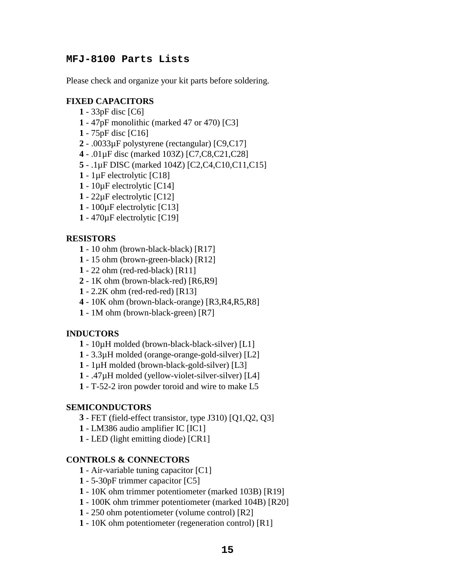## **MFJ-8100 Parts Lists**

Please check and organize your kit parts before soldering.

## **FIXED CAPACITORS**

- 33pF disc [C6]
- 47pF monolithic (marked 47 or 470) [C3]
- 75pF disc [C16]
- .0033µF polystyrene (rectangular) [C9,C17]
- .01µF disc (marked 103Z) [C7,C8,C21,C28]
- .1µF DISC (marked 104Z) [C2,C4,C10,C11,C15]
- 1µF electrolytic [C18]
- 10µF electrolytic [C14]
- 22µF electrolytic [C12]
- 100µF electrolytic [C13]
- 470µF electrolytic [C19]

### **RESISTORS**

- 10 ohm (brown-black-black) [R17]
- 15 ohm (brown-green-black) [R12]
- 22 ohm (red-red-black) [R11]
- 1K ohm (brown-black-red) [R6,R9]
- 2.2K ohm (red-red-red) [R13]
- 10K ohm (brown-black-orange) [R3,R4,R5,R8]
- 1M ohm (brown-black-green) [R7]

#### **INDUCTORS**

- 10µH molded (brown-black-black-silver) [L1]
- 3.3µH molded (orange-orange-gold-silver) [L2]
- 1µH molded (brown-black-gold-silver) [L3]
- .47µH molded (yellow-violet-silver-silver) [L4]
- T-52-2 iron powder toroid and wire to make L5

#### **SEMICONDUCTORS**

- FET (field-effect transistor, type J310) [Q1,Q2, Q3]
- LM386 audio amplifier IC [IC1]
- LED (light emitting diode) [CR1]

### **CONTROLS & CONNECTORS**

- Air-variable tuning capacitor [C1]
- 5-30pF trimmer capacitor [C5]
- 10K ohm trimmer potentiometer (marked 103B) [R19]
- 100K ohm trimmer potentiometer (marked 104B) [R20]
- 250 ohm potentiometer (volume control) [R2]
- 10K ohm potentiometer (regeneration control) [R1]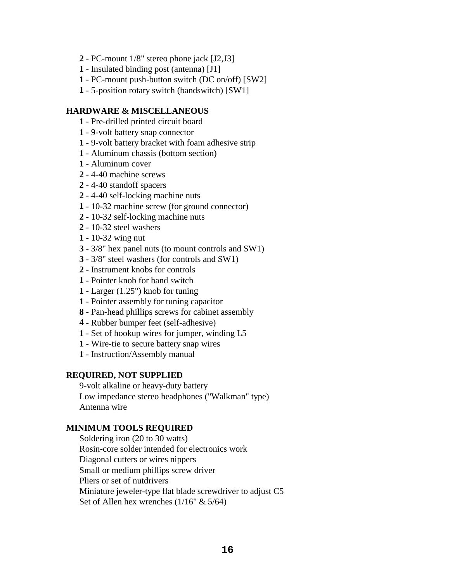- PC-mount 1/8" stereo phone jack [J2,J3]
- Insulated binding post (antenna) [J1]
- PC-mount push-button switch (DC on/off) [SW2]
- 5-position rotary switch (bandswitch) [SW1]

#### **HARDWARE & MISCELLANEOUS**

- Pre-drilled printed circuit board
- 9-volt battery snap connector
- 9-volt battery bracket with foam adhesive strip
- Aluminum chassis (bottom section)
- Aluminum cover
- 4-40 machine screws
- 4-40 standoff spacers
- 4-40 self-locking machine nuts
- 10-32 machine screw (for ground connector)
- 10-32 self-locking machine nuts
- 10-32 steel washers
- 10-32 wing nut
- 3/8" hex panel nuts (to mount controls and SW1)
- 3/8" steel washers (for controls and SW1)
- Instrument knobs for controls
- Pointer knob for band switch
- Larger (1.25") knob for tuning
- Pointer assembly for tuning capacitor
- Pan-head phillips screws for cabinet assembly
- Rubber bumper feet (self-adhesive)
- Set of hookup wires for jumper, winding L5
- Wire-tie to secure battery snap wires
- Instruction/Assembly manual

#### **REQUIRED, NOT SUPPLIED**

9-volt alkaline or heavy-duty battery Low impedance stereo headphones ("Walkman" type) Antenna wire

#### **MINIMUM TOOLS REQUIRED**

Soldering iron (20 to 30 watts) Rosin-core solder intended for electronics work Diagonal cutters or wires nippers Small or medium phillips screw driver Pliers or set of nutdrivers Miniature jeweler-type flat blade screwdriver to adjust C5 Set of Allen hex wrenches  $(1/16" \& 5/64)$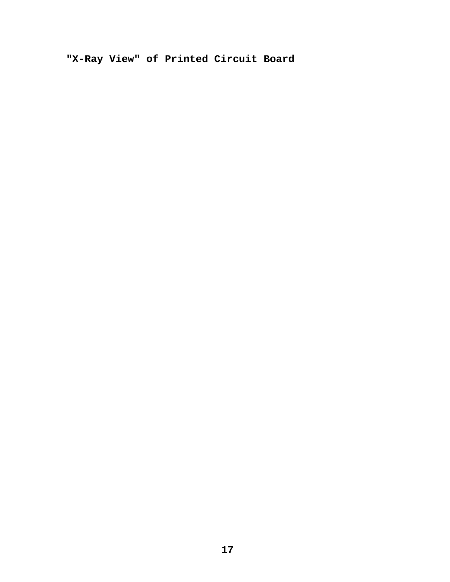**"X-Ray View" of Printed Circuit Board**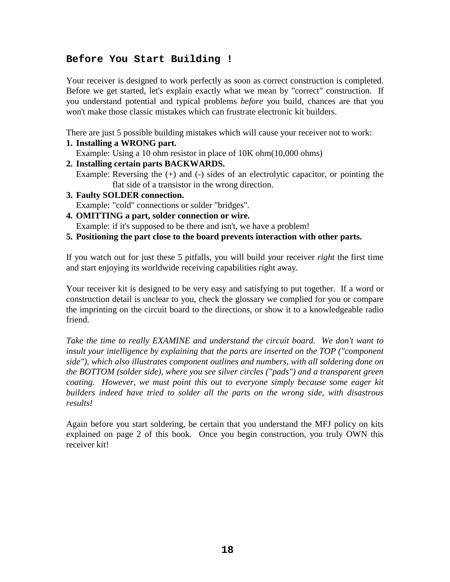## **Before You Start Building !**

Your receiver is designed to work perfectly as soon as correct construction is completed. Before we get started, let's explain exactly what we mean by "correct" construction. If you understand potential and typical problems *before* you build, chances are that you won't make those classic mistakes which can frustrate electronic kit builders.

There are just 5 possible building mistakes which will cause your receiver not to work: **1. Installing a WRONG part.** 

Example: Using a 10 ohm resistor in place of 10K ohm(10,000 ohms)

**2. Installing certain parts BACKWARDS.** 

Example: Reversing the  $(+)$  and  $(-)$  sides of an electrolytic capacitor, or pointing the flat side of a transistor in the wrong direction.

- **3. Faulty SOLDER connection.**  Example: "cold" connections or solder "bridges".
- **4. OMITTING a part, solder connection or wire.**  Example: if it's supposed to be there and isn't, we have a problem!
- **5. Positioning the part close to the board prevents interaction with other parts.**

If you watch out for just these 5 pitfalls, you will build your receiver *right* the first time and start enjoying its worldwide receiving capabilities right away.

Your receiver kit is designed to be very easy and satisfying to put together. If a word or construction detail is unclear to you, check the glossary we complied for you or compare the imprinting on the circuit board to the directions, or show it to a knowledgeable radio friend.

*Take the time to really EXAMINE and understand the circuit board. We don't want to insult your intelligence by explaining that the parts are inserted on the TOP ("component side"), which also illustrates component outlines and numbers, with all soldering done on the BOTTOM (solder side), where you see silver circles ("pads") and a transparent green coating. However, we must point this out to everyone simply because some eager kit builders indeed have tried to solder all the parts on the wrong side, with disastrous results!* 

Again before you start soldering, be certain that you understand the MFJ policy on kits explained on page 2 of this book. Once you begin construction, you truly OWN this receiver kit!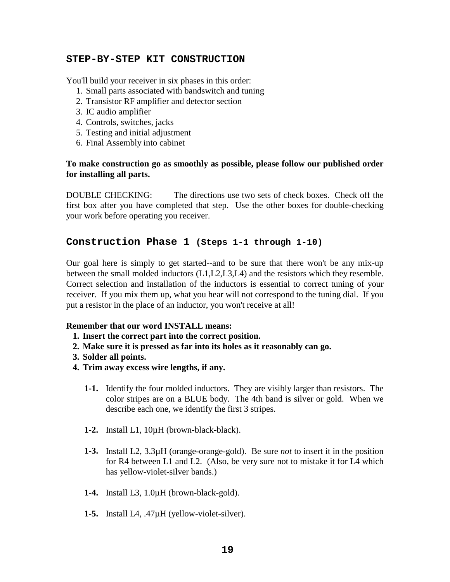### **STEP-BY-STEP KIT CONSTRUCTION**

You'll build your receiver in six phases in this order:

- 1. Small parts associated with bandswitch and tuning
- 2. Transistor RF amplifier and detector section
- 3. IC audio amplifier
- 4. Controls, switches, jacks
- 5. Testing and initial adjustment
- 6. Final Assembly into cabinet

### **To make construction go as smoothly as possible, please follow our published order for installing all parts.**

DOUBLE CHECKING: The directions use two sets of check boxes. Check off the first box after you have completed that step. Use the other boxes for double-checking your work before operating you receiver.

### **Construction Phase 1 (Steps 1-1 through 1-10)**

Our goal here is simply to get started--and to be sure that there won't be any mix-up between the small molded inductors (L1,L2,L3,L4) and the resistors which they resemble. Correct selection and installation of the inductors is essential to correct tuning of your receiver. If you mix them up, what you hear will not correspond to the tuning dial. If you put a resistor in the place of an inductor, you won't receive at all!

#### **Remember that our word INSTALL means:**

- **1. Insert the correct part into the correct position.**
- **2. Make sure it is pressed as far into its holes as it reasonably can go.**
- **3. Solder all points.**
- **4. Trim away excess wire lengths, if any.** 
	- **1-1.** Identify the four molded inductors. They are visibly larger than resistors. The color stripes are on a BLUE body. The 4th band is silver or gold. When we describe each one, we identify the first 3 stripes.
	- **1-2.** Install L1, 10µH (brown-black-black).
	- **1-3.** Install L2, 3.3µH (orange-orange-gold). Be sure *not* to insert it in the position for R4 between L1 and L2. (Also, be very sure not to mistake it for L4 which has yellow-violet-silver bands.)
	- **1-4.** Install L3, 1.0µH (brown-black-gold).
	- **1-5.** Install L4, .47µH (yellow-violet-silver).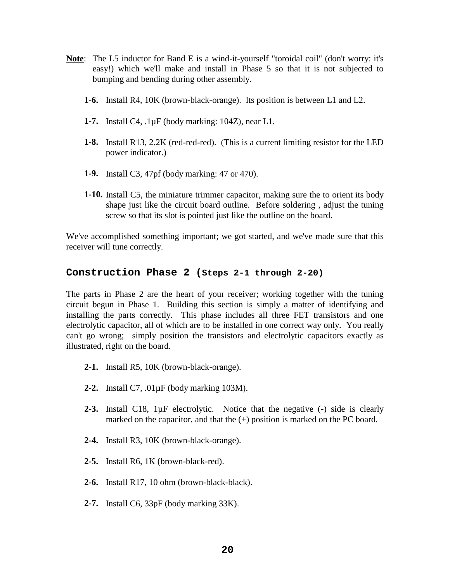- **Note**: The L5 inductor for Band E is a wind-it-yourself "toroidal coil" (don't worry: it's easy!) which we'll make and install in Phase 5 so that it is not subjected to bumping and bending during other assembly.
	- **1-6.** Install R4, 10K (brown-black-orange). Its position is between L1 and L2.
	- **1-7.** Install C4, .1µF (body marking: 104Z), near L1.
	- **1-8.** Install R13, 2.2K (red-red-red). (This is a current limiting resistor for the LED power indicator.)
	- **1-9.** Install C3, 47pf (body marking: 47 or 470).
	- **1-10.** Install C5, the miniature trimmer capacitor, making sure the to orient its body shape just like the circuit board outline. Before soldering , adjust the tuning screw so that its slot is pointed just like the outline on the board.

We've accomplished something important; we got started, and we've made sure that this receiver will tune correctly.

#### **Construction Phase 2 (Steps 2-1 through 2-20)**

The parts in Phase 2 are the heart of your receiver; working together with the tuning circuit begun in Phase 1. Building this section is simply a matter of identifying and installing the parts correctly. This phase includes all three FET transistors and one electrolytic capacitor, all of which are to be installed in one correct way only. You really can't go wrong; simply position the transistors and electrolytic capacitors exactly as illustrated, right on the board.

- **2-1.** Install R5, 10K (brown-black-orange).
- **2-2.** Install C7, .01µF (body marking 103M).
- **2-3.** Install C18, 1µF electrolytic. Notice that the negative (-) side is clearly marked on the capacitor, and that the (+) position is marked on the PC board.
- **2-4.** Install R3, 10K (brown-black-orange).
- **2-5.** Install R6, 1K (brown-black-red).
- **2-6.** Install R17, 10 ohm (brown-black-black).
- **2-7.** Install C6, 33pF (body marking 33K).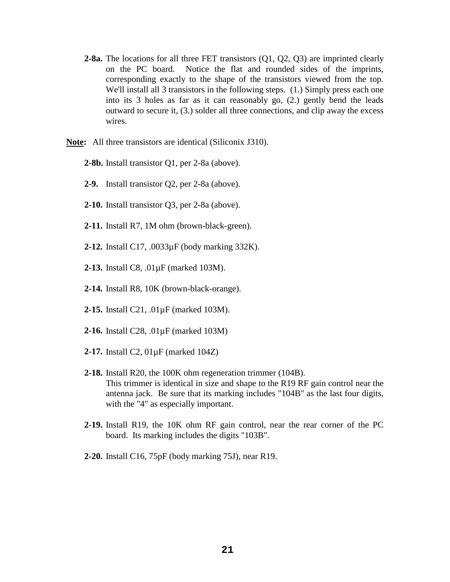- **2-8a.** The locations for all three FET transistors (Q1, Q2, Q3) are imprinted clearly on the PC board. Notice the flat and rounded sides of the imprints, corresponding exactly to the shape of the transistors viewed from the top. We'll install all 3 transistors in the following steps. (1.) Simply press each one into its 3 holes as far as it can reasonably go, (2.) gently bend the leads outward to secure it, (3.) solder all three connections, and clip away the excess wires.
- **Note:** All three transistors are identical (Siliconix J310).
	- **2-8b.** Install transistor Q1, per 2-8a (above).
	- **2-9.** Install transistor Q2, per 2-8a (above).
	- **2-10.** Install transistor Q3, per 2-8a (above).
	- **2-11.** Install R7, 1M ohm (brown-black-green).
	- **2-12.** Install C17, .0033µF (body marking 332K).
	- **2-13.** Install C8, .01µF (marked 103M).
	- **2-14.** Install R8, 10K (brown-black-orange).
	- **2-15.** Install C21, .01µF (marked 103M).
	- **2-16.** Install C28, .01µF (marked 103M)
	- **2-17.** Install C2, 01µF (marked 104Z)
	- **2-18.** Install R20, the 100K ohm regeneration trimmer (104B). This trimmer is identical in size and shape to the R19 RF gain control near the antenna jack. Be sure that its marking includes "104B" as the last four digits, with the "4" as especially important.
	- **2-19.** Install R19, the 10K ohm RF gain control, near the rear corner of the PC board. Its marking includes the digits "103B".
	- **2-20.** Install C16, 75pF (body marking 75J), near R19.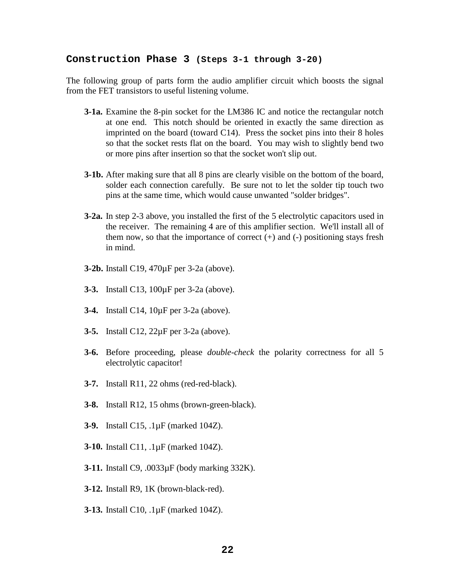#### **Construction Phase 3 (Steps 3-1 through 3-20)**

The following group of parts form the audio amplifier circuit which boosts the signal from the FET transistors to useful listening volume.

- **3-1a.** Examine the 8-pin socket for the LM386 IC and notice the rectangular notch at one end. This notch should be oriented in exactly the same direction as imprinted on the board (toward C14). Press the socket pins into their 8 holes so that the socket rests flat on the board. You may wish to slightly bend two or more pins after insertion so that the socket won't slip out.
- **3-1b.** After making sure that all 8 pins are clearly visible on the bottom of the board, solder each connection carefully. Be sure not to let the solder tip touch two pins at the same time, which would cause unwanted "solder bridges".
- **3-2a.** In step 2-3 above, you installed the first of the 5 electrolytic capacitors used in the receiver. The remaining 4 are of this amplifier section. We'll install all of them now, so that the importance of correct  $(+)$  and  $(-)$  positioning stays fresh in mind.
- **3-2b.** Install C19, 470µF per 3-2a (above).
- **3-3.** Install C13, 100µF per 3-2a (above).
- **3-4.** Install C14, 10µF per 3-2a (above).
- **3-5.** Install C12, 22µF per 3-2a (above).
- **3-6.** Before proceeding, please *double-check* the polarity correctness for all 5 electrolytic capacitor!
- **3-7.** Install R11, 22 ohms (red-red-black).
- **3-8.** Install R12, 15 ohms (brown-green-black).
- **3-9.** Install C15, .1µF (marked 104Z).
- **3-10.** Install C11, .1µF (marked 104Z).
- **3-11.** Install C9, .0033µF (body marking 332K).
- **3-12.** Install R9, 1K (brown-black-red).
- **3-13.** Install C10, .1µF (marked 104Z).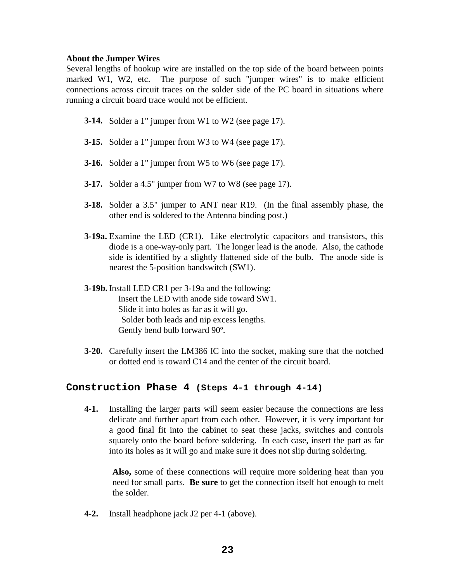#### **About the Jumper Wires**

Several lengths of hookup wire are installed on the top side of the board between points marked W1, W2, etc. The purpose of such "jumper wires" is to make efficient connections across circuit traces on the solder side of the PC board in situations where running a circuit board trace would not be efficient.

- **3-14.** Solder a 1" jumper from W1 to W2 (see page 17).
- **3-15.** Solder a 1" jumper from W3 to W4 (see page 17).
- **3-16.** Solder a 1" jumper from W5 to W6 (see page 17).
- **3-17.** Solder a 4.5" jumper from W7 to W8 (see page 17).
- **3-18.** Solder a 3.5" jumper to ANT near R19. (In the final assembly phase, the other end is soldered to the Antenna binding post.)
- **3-19a.** Examine the LED (CR1). Like electrolytic capacitors and transistors, this diode is a one-way-only part. The longer lead is the anode. Also, the cathode side is identified by a slightly flattened side of the bulb. The anode side is nearest the 5-position bandswitch (SW1).
- **3-19b.** Install LED CR1 per 3-19a and the following: Insert the LED with anode side toward SW1. Slide it into holes as far as it will go. Solder both leads and nip excess lengths. Gently bend bulb forward 90º.
- **3-20.** Carefully insert the LM386 IC into the socket, making sure that the notched or dotted end is toward C14 and the center of the circuit board.

## **Construction Phase 4 (Steps 4-1 through 4-14)**

**4-1.** Installing the larger parts will seem easier because the connections are less delicate and further apart from each other. However, it is very important for a good final fit into the cabinet to seat these jacks, switches and controls squarely onto the board before soldering. In each case, insert the part as far into its holes as it will go and make sure it does not slip during soldering.

**Also,** some of these connections will require more soldering heat than you need for small parts. **Be sure** to get the connection itself hot enough to melt the solder.

 **4-2.** Install headphone jack J2 per 4-1 (above).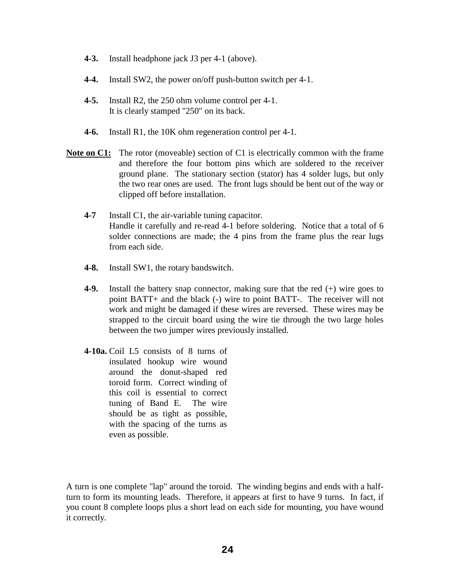- **4-3.** Install headphone jack J3 per 4-1 (above).
- **4-4.** Install SW2, the power on/off push-button switch per 4-1.
- **4-5.** Install R2, the 250 ohm volume control per 4-1. It is clearly stamped "250" on its back.
- **4-6.** Install R1, the 10K ohm regeneration control per 4-1.
- **Note on C1:** The rotor (moveable) section of C1 is electrically common with the frame and therefore the four bottom pins which are soldered to the receiver ground plane. The stationary section (stator) has 4 solder lugs, but only the two rear ones are used. The front lugs should be bent out of the way or clipped off before installation.
	- **4-7** Install C1, the air-variable tuning capacitor. Handle it carefully and re-read 4-1 before soldering. Notice that a total of 6 solder connections are made; the 4 pins from the frame plus the rear lugs from each side.
	- **4-8.** Install SW1, the rotary bandswitch.
	- **4-9.** Install the battery snap connector, making sure that the red (+) wire goes to point BATT+ and the black (-) wire to point BATT-. The receiver will not work and might be damaged if these wires are reversed. These wires may be strapped to the circuit board using the wire tie through the two large holes between the two jumper wires previously installed.
	- **4-10a.** Coil L5 consists of 8 turns of insulated hookup wire wound around the donut-shaped red toroid form. Correct winding of this coil is essential to correct tuning of Band E. The wire should be as tight as possible, with the spacing of the turns as even as possible.

A turn is one complete "lap" around the toroid. The winding begins and ends with a halfturn to form its mounting leads. Therefore, it appears at first to have 9 turns. In fact, if you count 8 complete loops plus a short lead on each side for mounting, you have wound it correctly.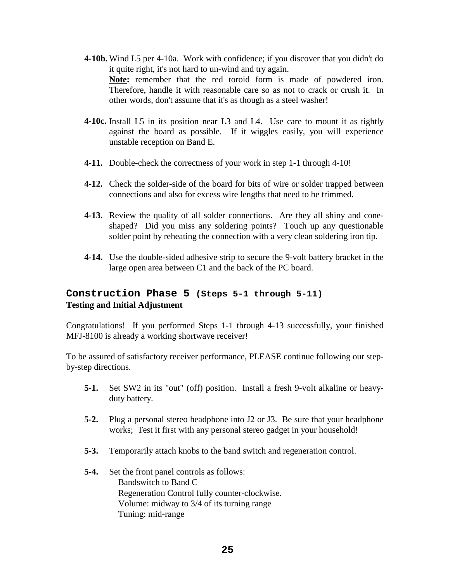- **4-10b.** Wind L5 per 4-10a. Work with confidence; if you discover that you didn't do it quite right, it's not hard to un-wind and try again. **Note:** remember that the red toroid form is made of powdered iron. Therefore, handle it with reasonable care so as not to crack or crush it. In other words, don't assume that it's as though as a steel washer!
- **4-10c.** Install L5 in its position near L3 and L4. Use care to mount it as tightly against the board as possible. If it wiggles easily, you will experience unstable reception on Band E.
- **4-11.** Double-check the correctness of your work in step 1-1 through 4-10!
- **4-12.** Check the solder-side of the board for bits of wire or solder trapped between connections and also for excess wire lengths that need to be trimmed.
- **4-13.** Review the quality of all solder connections. Are they all shiny and coneshaped? Did you miss any soldering points? Touch up any questionable solder point by reheating the connection with a very clean soldering iron tip.
- **4-14.** Use the double-sided adhesive strip to secure the 9-volt battery bracket in the large open area between C1 and the back of the PC board.

## **Construction Phase 5 (Steps 5-1 through 5-11) Testing and Initial Adjustment**

Congratulations! If you performed Steps 1-1 through 4-13 successfully, your finished MFJ-8100 is already a working shortwave receiver!

To be assured of satisfactory receiver performance, PLEASE continue following our stepby-step directions.

- **5-1.** Set SW2 in its "out" (off) position. Install a fresh 9-volt alkaline or heavyduty battery.
- **5-2.** Plug a personal stereo headphone into J2 or J3. Be sure that your headphone works; Test it first with any personal stereo gadget in your household!
- **5-3.** Temporarily attach knobs to the band switch and regeneration control.
- **5-4.** Set the front panel controls as follows: Bandswitch to Band C Regeneration Control fully counter-clockwise. Volume: midway to 3/4 of its turning range Tuning: mid-range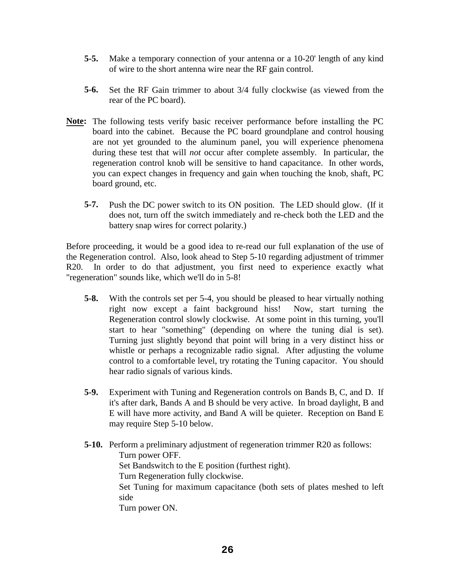- **5-5.** Make a temporary connection of your antenna or a 10-20' length of any kind of wire to the short antenna wire near the RF gain control.
- **5-6.** Set the RF Gain trimmer to about 3/4 fully clockwise (as viewed from the rear of the PC board).
- **Note:** The following tests verify basic receiver performance before installing the PC board into the cabinet. Because the PC board groundplane and control housing are not yet grounded to the aluminum panel, you will experience phenomena during these test that will *not* occur after complete assembly. In particular, the regeneration control knob will be sensitive to hand capacitance. In other words, you can expect changes in frequency and gain when touching the knob, shaft, PC board ground, etc.
	- **5-7.** Push the DC power switch to its ON position. The LED should glow. (If it does not, turn off the switch immediately and re-check both the LED and the battery snap wires for correct polarity.)

Before proceeding, it would be a good idea to re-read our full explanation of the use of the Regeneration control. Also, look ahead to Step 5-10 regarding adjustment of trimmer R20. In order to do that adjustment, you first need to experience exactly what "regeneration" sounds like, which we'll do in 5-8!

- **5-8.** With the controls set per 5-4, you should be pleased to hear virtually nothing right now except a faint background hiss! Now, start turning the Regeneration control slowly clockwise. At some point in this turning, you'll start to hear "something" (depending on where the tuning dial is set). Turning just slightly beyond that point will bring in a very distinct hiss or whistle or perhaps a recognizable radio signal. After adjusting the volume control to a comfortable level, try rotating the Tuning capacitor. You should hear radio signals of various kinds.
- **5-9.** Experiment with Tuning and Regeneration controls on Bands B, C, and D. If it's after dark, Bands A and B should be very active. In broad daylight, B and E will have more activity, and Band A will be quieter. Reception on Band E may require Step 5-10 below.
- **5-10.** Perform a preliminary adjustment of regeneration trimmer R20 as follows: Turn power OFF. Set Bandswitch to the E position (furthest right). Turn Regeneration fully clockwise. Set Tuning for maximum capacitance (both sets of plates meshed to left side Turn power ON.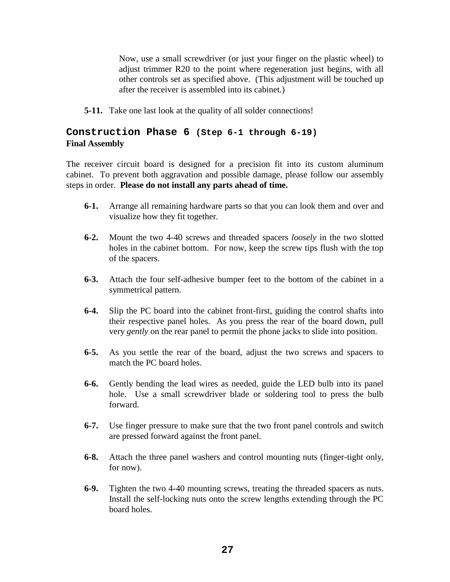Now, use a small screwdriver (or just your finger on the plastic wheel) to adjust trimmer R20 to the point where regeneration just begins, with all other controls set as specified above. (This adjustment will be touched up after the receiver is assembled into its cabinet.)

**5-11.** Take one last look at the quality of all solder connections!

## **Construction Phase 6 (Step 6-1 through 6-19) Final Assembly**

The receiver circuit board is designed for a precision fit into its custom aluminum cabinet. To prevent both aggravation and possible damage, please follow our assembly steps in order. **Please do not install any parts ahead of time.** 

- **6-1.** Arrange all remaining hardware parts so that you can look them and over and visualize how they fit together.
- **6-2.** Mount the two 4-40 screws and threaded spacers *loosely* in the two slotted holes in the cabinet bottom. For now, keep the screw tips flush with the top of the spacers.
- **6-3.** Attach the four self-adhesive bumper feet to the bottom of the cabinet in a symmetrical pattern.
- **6-4.** Slip the PC board into the cabinet front-first, guiding the control shafts into their respective panel holes. As you press the rear of the board down, pull very *gently* on the rear panel to permit the phone jacks to slide into position.
- **6-5.** As you settle the rear of the board, adjust the two screws and spacers to match the PC board holes.
- **6-6.** Gently bending the lead wires as needed, guide the LED bulb into its panel hole. Use a small screwdriver blade or soldering tool to press the bulb forward.
- **6-7.** Use finger pressure to make sure that the two front panel controls and switch are pressed forward against the front panel.
- **6-8.** Attach the three panel washers and control mounting nuts (finger-tight only, for now).
- **6-9.** Tighten the two 4-40 mounting screws, treating the threaded spacers as nuts. Install the self-locking nuts onto the screw lengths extending through the PC board holes.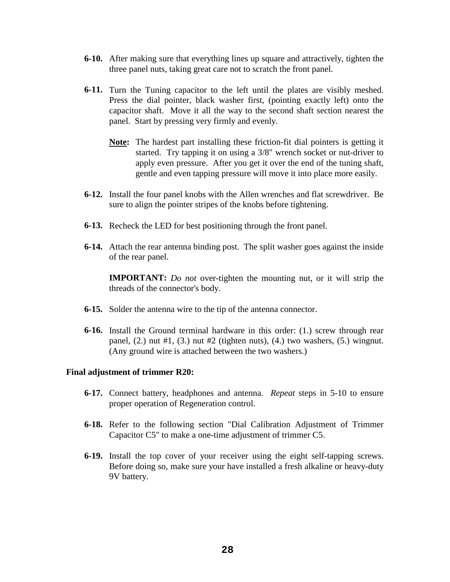- **6-10.** After making sure that everything lines up square and attractively, tighten the three panel nuts, taking great care not to scratch the front panel.
- **6-11.** Turn the Tuning capacitor to the left until the plates are visibly meshed. Press the dial pointer, black washer first, (pointing exactly left) onto the capacitor shaft. Move it all the way to the second shaft section nearest the panel. Start by pressing very firmly and evenly.
	- **Note:** The hardest part installing these friction-fit dial pointers is getting it started. Try tapping it on using a 3/8" wrench socket or nut-driver to apply even pressure. After you get it over the end of the tuning shaft, gentle and even tapping pressure will move it into place more easily.
- **6-12.** Install the four panel knobs with the Allen wrenches and flat screwdriver. Be sure to align the pointer stripes of the knobs before tightening.
- **6-13.** Recheck the LED for best positioning through the front panel.
- **6-14.** Attach the rear antenna binding post. The split washer goes against the inside of the rear panel.

**IMPORTANT:** *Do not* over-tighten the mounting nut, or it will strip the threads of the connector's body.

- **6-15.** Solder the antenna wire to the tip of the antenna connector.
- **6-16.** Install the Ground terminal hardware in this order: (1.) screw through rear panel,  $(2)$  nut #1,  $(3)$  nut #2 (tighten nuts),  $(4)$  two washers,  $(5)$  wingnut. (Any ground wire is attached between the two washers.)

#### **Final adjustment of trimmer R20:**

- **6-17.** Connect battery, headphones and antenna. *Repeat* steps in 5-10 to ensure proper operation of Regeneration control.
- **6-18.** Refer to the following section "Dial Calibration Adjustment of Trimmer Capacitor C5" to make a one-time adjustment of trimmer C5.
- **6-19.** Install the top cover of your receiver using the eight self-tapping screws. Before doing so, make sure your have installed a fresh alkaline or heavy-duty 9V battery.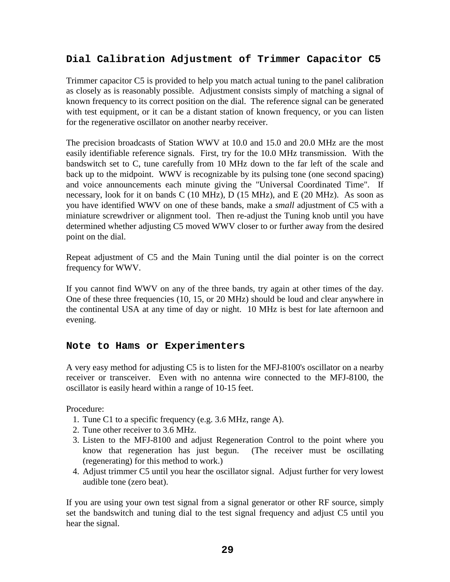## **Dial Calibration Adjustment of Trimmer Capacitor C5**

Trimmer capacitor C5 is provided to help you match actual tuning to the panel calibration as closely as is reasonably possible. Adjustment consists simply of matching a signal of known frequency to its correct position on the dial. The reference signal can be generated with test equipment, or it can be a distant station of known frequency, or you can listen for the regenerative oscillator on another nearby receiver.

The precision broadcasts of Station WWV at 10.0 and 15.0 and 20.0 MHz are the most easily identifiable reference signals. First, try for the 10.0 MHz transmission. With the bandswitch set to C, tune carefully from 10 MHz down to the far left of the scale and back up to the midpoint. WWV is recognizable by its pulsing tone (one second spacing) and voice announcements each minute giving the "Universal Coordinated Time". If necessary, look for it on bands C (10 MHz), D (15 MHz), and E (20 MHz). As soon as you have identified WWV on one of these bands, make a *small* adjustment of C5 with a miniature screwdriver or alignment tool. Then re-adjust the Tuning knob until you have determined whether adjusting C5 moved WWV closer to or further away from the desired point on the dial.

Repeat adjustment of C5 and the Main Tuning until the dial pointer is on the correct frequency for WWV.

If you cannot find WWV on any of the three bands, try again at other times of the day. One of these three frequencies (10, 15, or 20 MHz) should be loud and clear anywhere in the continental USA at any time of day or night. 10 MHz is best for late afternoon and evening.

## **Note to Hams or Experimenters**

A very easy method for adjusting C5 is to listen for the MFJ-8100's oscillator on a nearby receiver or transceiver. Even with no antenna wire connected to the MFJ-8100, the oscillator is easily heard within a range of 10-15 feet.

Procedure:

- 1. Tune C1 to a specific frequency (e.g. 3.6 MHz, range A).
- 2. Tune other receiver to 3.6 MHz.
- 3. Listen to the MFJ-8100 and adjust Regeneration Control to the point where you know that regeneration has just begun. (The receiver must be oscillating (regenerating) for this method to work.)
- 4. Adjust trimmer C5 until you hear the oscillator signal. Adjust further for very lowest audible tone (zero beat).

If you are using your own test signal from a signal generator or other RF source, simply set the bandswitch and tuning dial to the test signal frequency and adjust C5 until you hear the signal.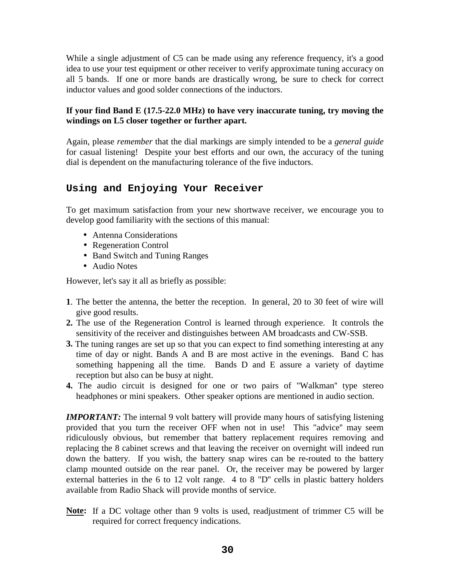While a single adjustment of C5 can be made using any reference frequency, it's a good idea to use your test equipment or other receiver to verify approximate tuning accuracy on all 5 bands. If one or more bands are drastically wrong, be sure to check for correct inductor values and good solder connections of the inductors.

## **If your find Band E (17.5-22.0 MHz) to have very inaccurate tuning, try moving the windings on L5 closer together or further apart.**

Again, please *remember* that the dial markings are simply intended to be a *general guide* for casual listening! Despite your best efforts and our own, the accuracy of the tuning dial is dependent on the manufacturing tolerance of the five inductors.

## **Using and Enjoying Your Receiver**

To get maximum satisfaction from your new shortwave receiver, we encourage you to develop good familiarity with the sections of this manual:

- Antenna Considerations
- Regeneration Control
- Band Switch and Tuning Ranges
- Audio Notes

However, let's say it all as briefly as possible:

- **1**. The better the antenna, the better the reception. In general, 20 to 30 feet of wire will give good results.
- **2.** The use of the Regeneration Control is learned through experience. It controls the sensitivity of the receiver and distinguishes between AM broadcasts and CW-SSB.
- **3.** The tuning ranges are set up so that you can expect to find something interesting at any time of day or night. Bands A and B are most active in the evenings. Band C has something happening all the time. Bands D and E assure a variety of daytime reception but also can be busy at night.
- **4.** The audio circuit is designed for one or two pairs of "Walkman'' type stereo headphones or mini speakers. Other speaker options are mentioned in audio section.

*IMPORTANT:* The internal 9 volt battery will provide many hours of satisfying listening provided that you turn the receiver OFF when not in use! This "advice'' may seem ridiculously obvious, but remember that battery replacement requires removing and replacing the 8 cabinet screws and that leaving the receiver on overnight will indeed run down the battery. If you wish, the battery snap wires can be re-routed to the battery clamp mounted outside on the rear panel. Or, the receiver may be powered by larger external batteries in the 6 to 12 volt range. 4 to 8 "D'' cells in plastic battery holders available from Radio Shack will provide months of service.

**Note:** If a DC voltage other than 9 volts is used, readjustment of trimmer C5 will be required for correct frequency indications.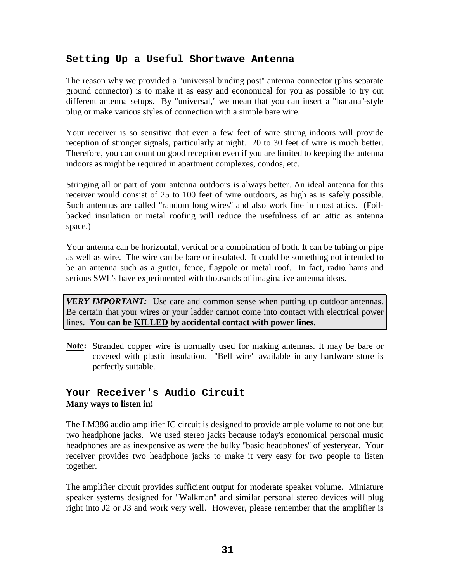## **Setting Up a Useful Shortwave Antenna**

The reason why we provided a "universal binding post'' antenna connector (plus separate ground connector) is to make it as easy and economical for you as possible to try out different antenna setups. By "universal," we mean that you can insert a "banana"-style plug or make various styles of connection with a simple bare wire.

Your receiver is so sensitive that even a few feet of wire strung indoors will provide reception of stronger signals, particularly at night. 20 to 30 feet of wire is much better. Therefore, you can count on good reception even if you are limited to keeping the antenna indoors as might be required in apartment complexes, condos, etc.

Stringing all or part of your antenna outdoors is always better. An ideal antenna for this receiver would consist of 25 to 100 feet of wire outdoors, as high as is safely possible. Such antennas are called "random long wires'' and also work fine in most attics. (Foilbacked insulation or metal roofing will reduce the usefulness of an attic as antenna space.)

Your antenna can be horizontal, vertical or a combination of both. It can be tubing or pipe as well as wire. The wire can be bare or insulated. It could be something not intended to be an antenna such as a gutter, fence, flagpole or metal roof. In fact, radio hams and serious SWL's have experimented with thousands of imaginative antenna ideas.

*VERY IMPORTANT:* Use care and common sense when putting up outdoor antennas. Be certain that your wires or your ladder cannot come into contact with electrical power lines. **You can be KILLED by accidental contact with power lines.**

**Note:** Stranded copper wire is normally used for making antennas. It may be bare or covered with plastic insulation. "Bell wire" available in any hardware store is perfectly suitable.

## **Your Receiver's Audio Circuit Many ways to listen in!**

The LM386 audio amplifier IC circuit is designed to provide ample volume to not one but two headphone jacks. We used stereo jacks because today's economical personal music headphones are as inexpensive as were the bulky "basic headphones'' of yesteryear. Your receiver provides two headphone jacks to make it very easy for two people to listen together.

The amplifier circuit provides sufficient output for moderate speaker volume. Miniature speaker systems designed for "Walkman'' and similar personal stereo devices will plug right into J2 or J3 and work very well. However, please remember that the amplifier is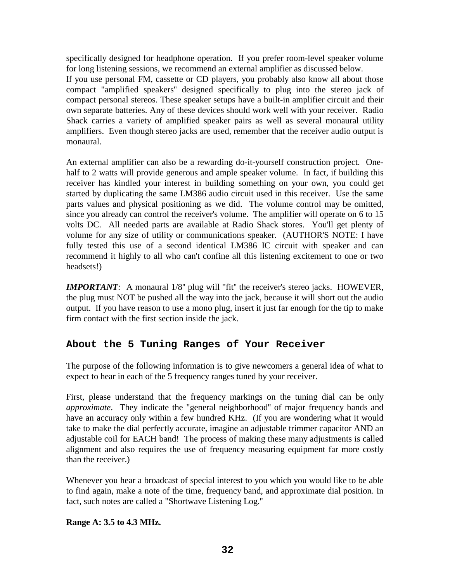specifically designed for headphone operation. If you prefer room-level speaker volume for long listening sessions, we recommend an external amplifier as discussed below.

If you use personal FM, cassette or CD players, you probably also know all about those compact "amplified speakers'' designed specifically to plug into the stereo jack of compact personal stereos. These speaker setups have a built-in amplifier circuit and their own separate batteries. Any of these devices should work well with your receiver. Radio Shack carries a variety of amplified speaker pairs as well as several monaural utility amplifiers. Even though stereo jacks are used, remember that the receiver audio output is monaural.

An external amplifier can also be a rewarding do-it-yourself construction project. Onehalf to 2 watts will provide generous and ample speaker volume. In fact, if building this receiver has kindled your interest in building something on your own, you could get started by duplicating the same LM386 audio circuit used in this receiver. Use the same parts values and physical positioning as we did. The volume control may be omitted, since you already can control the receiver's volume. The amplifier will operate on 6 to 15 volts DC. All needed parts are available at Radio Shack stores. You'll get plenty of volume for any size of utility or communications speaker. (AUTHOR'S NOTE: I have fully tested this use of a second identical LM386 IC circuit with speaker and can recommend it highly to all who can't confine all this listening excitement to one or two headsets!)

*IMPORTANT*: A monaural 1/8" plug will "fit" the receiver's stereo jacks. HOWEVER, the plug must NOT be pushed all the way into the jack, because it will short out the audio output. If you have reason to use a mono plug, insert it just far enough for the tip to make firm contact with the first section inside the jack.

## **About the 5 Tuning Ranges of Your Receiver**

The purpose of the following information is to give newcomers a general idea of what to expect to hear in each of the 5 frequency ranges tuned by your receiver.

First, please understand that the frequency markings on the tuning dial can be only *approximate*. They indicate the "general neighborhood'' of major frequency bands and have an accuracy only within a few hundred KHz. (If you are wondering what it would take to make the dial perfectly accurate, imagine an adjustable trimmer capacitor AND an adjustable coil for EACH band! The process of making these many adjustments is called alignment and also requires the use of frequency measuring equipment far more costly than the receiver.)

Whenever you hear a broadcast of special interest to you which you would like to be able to find again, make a note of the time, frequency band, and approximate dial position. In fact, such notes are called a "Shortwave Listening Log.''

## **Range A: 3.5 to 4.3 MHz.**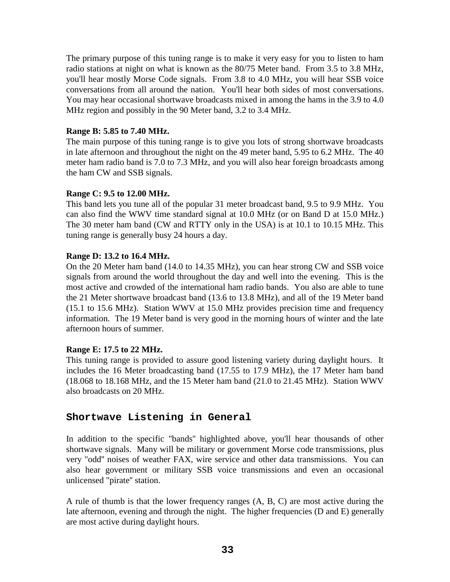The primary purpose of this tuning range is to make it very easy for you to listen to ham radio stations at night on what is known as the 80/75 Meter band. From 3.5 to 3.8 MHz, you'll hear mostly Morse Code signals. From 3.8 to 4.0 MHz, you will hear SSB voice conversations from all around the nation. You'll hear both sides of most conversations. You may hear occasional shortwave broadcasts mixed in among the hams in the 3.9 to 4.0 MHz region and possibly in the 90 Meter band, 3.2 to 3.4 MHz.

### **Range B: 5.85 to 7.40 MHz.**

The main purpose of this tuning range is to give you lots of strong shortwave broadcasts in late afternoon and throughout the night on the 49 meter band, 5.95 to 6.2 MHz. The 40 meter ham radio band is 7.0 to 7.3 MHz, and you will also hear foreign broadcasts among the ham CW and SSB signals.

## **Range C: 9.5 to 12.00 MHz.**

This band lets you tune all of the popular 31 meter broadcast band, 9.5 to 9.9 MHz. You can also find the WWV time standard signal at 10.0 MHz (or on Band D at 15.0 MHz.) The 30 meter ham band (CW and RTTY only in the USA) is at 10.1 to 10.15 MHz. This tuning range is generally busy 24 hours a day.

### **Range D: 13.2 to 16.4 MHz.**

On the 20 Meter ham band (14.0 to 14.35 MHz), you can hear strong CW and SSB voice signals from around the world throughout the day and well into the evening. This is the most active and crowded of the international ham radio bands. You also are able to tune the 21 Meter shortwave broadcast band (13.6 to 13.8 MHz), and all of the 19 Meter band (15.1 to 15.6 MHz). Station WWV at 15.0 MHz provides precision time and frequency information. The 19 Meter band is very good in the morning hours of winter and the late afternoon hours of summer.

## **Range E: 17.5 to 22 MHz.**

This tuning range is provided to assure good listening variety during daylight hours. It includes the 16 Meter broadcasting band (17.55 to 17.9 MHz), the 17 Meter ham band (18.068 to 18.168 MHz, and the 15 Meter ham band (21.0 to 21.45 MHz). Station WWV also broadcasts on 20 MHz.

## **Shortwave Listening in General**

In addition to the specific "bands'' highlighted above, you'll hear thousands of other shortwave signals. Many will be military or government Morse code transmissions, plus very "odd'' noises of weather FAX, wire service and other data transmissions. You can also hear government or military SSB voice transmissions and even an occasional unlicensed "pirate'' station.

A rule of thumb is that the lower frequency ranges (A, B, C) are most active during the late afternoon, evening and through the night. The higher frequencies (D and E) generally are most active during daylight hours.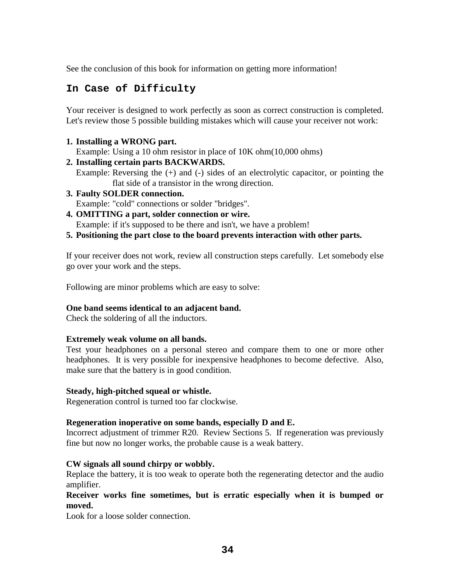See the conclusion of this book for information on getting more information!

## **In Case of Difficulty**

Your receiver is designed to work perfectly as soon as correct construction is completed. Let's review those 5 possible building mistakes which will cause your receiver not work:

**1. Installing a WRONG part.** 

Example: Using a 10 ohm resistor in place of 10K ohm(10,000 ohms)

**2. Installing certain parts BACKWARDS.** 

Example: Reversing the  $(+)$  and  $(-)$  sides of an electrolytic capacitor, or pointing the flat side of a transistor in the wrong direction.

- **3. Faulty SOLDER connection.**  Example: "cold" connections or solder "bridges".
- **4. OMITTING a part, solder connection or wire.**  Example: if it's supposed to be there and isn't, we have a problem!
- **5. Positioning the part close to the board prevents interaction with other parts.**

If your receiver does not work, review all construction steps carefully. Let somebody else go over your work and the steps.

Following are minor problems which are easy to solve:

## **One band seems identical to an adjacent band.**

Check the soldering of all the inductors.

## **Extremely weak volume on all bands.**

Test your headphones on a personal stereo and compare them to one or more other headphones. It is very possible for inexpensive headphones to become defective. Also, make sure that the battery is in good condition.

#### **Steady, high-pitched squeal or whistle.**

Regeneration control is turned too far clockwise.

#### **Regeneration inoperative on some bands, especially D and E.**

Incorrect adjustment of trimmer R20. Review Sections 5. If regeneration was previously fine but now no longer works, the probable cause is a weak battery.

## **CW signals all sound chirpy or wobbly.**

Replace the battery, it is too weak to operate both the regenerating detector and the audio amplifier.

### **Receiver works fine sometimes, but is erratic especially when it is bumped or moved.**

Look for a loose solder connection.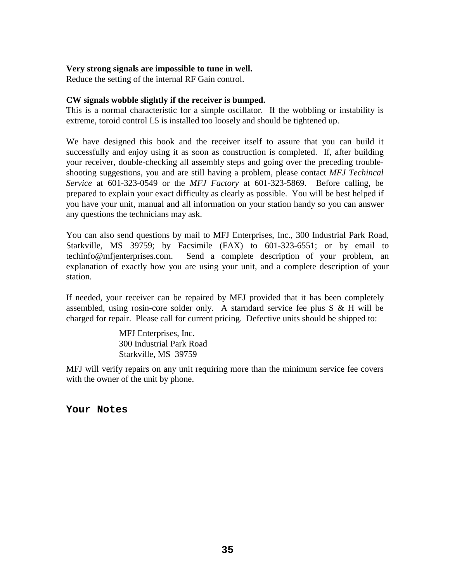#### **Very strong signals are impossible to tune in well.**

Reduce the setting of the internal RF Gain control.

#### **CW signals wobble slightly if the receiver is bumped.**

This is a normal characteristic for a simple oscillator. If the wobbling or instability is extreme, toroid control L5 is installed too loosely and should be tightened up.

We have designed this book and the receiver itself to assure that you can build it successfully and enjoy using it as soon as construction is completed. If, after building your receiver, double-checking all assembly steps and going over the preceding troubleshooting suggestions, you and are still having a problem, please contact *MFJ Techincal Service* at 601-323-0549 or the *MFJ Factory* at 601-323-5869. Before calling, be prepared to explain your exact difficulty as clearly as possible. You will be best helped if you have your unit, manual and all information on your station handy so you can answer any questions the technicians may ask.

You can also send questions by mail to MFJ Enterprises, Inc., 300 Industrial Park Road, Starkville, MS 39759; by Facsimile (FAX) to 601-323-6551; or by email to techinfo@mfjenterprises.com. Send a complete description of your problem, an explanation of exactly how you are using your unit, and a complete description of your station.

If needed, your receiver can be repaired by MFJ provided that it has been completely assembled, using rosin-core solder only. A starndard service fee plus  $S \& H$  will be charged for repair. Please call for current pricing. Defective units should be shipped to:

> MFJ Enterprises, Inc. 300 Industrial Park Road Starkville, MS 39759

MFJ will verify repairs on any unit requiring more than the minimum service fee covers with the owner of the unit by phone.

**Your Notes**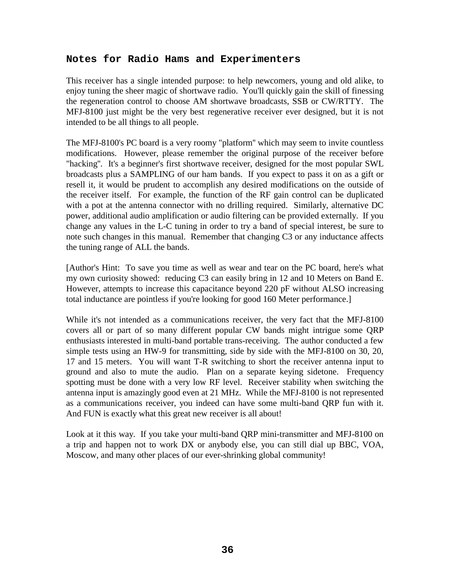## **Notes for Radio Hams and Experimenters**

This receiver has a single intended purpose: to help newcomers, young and old alike, to enjoy tuning the sheer magic of shortwave radio. You'll quickly gain the skill of finessing the regeneration control to choose AM shortwave broadcasts, SSB or CW/RTTY. The MFJ-8100 just might be the very best regenerative receiver ever designed, but it is not intended to be all things to all people.

The MFJ-8100's PC board is a very roomy "platform'' which may seem to invite countless modifications. However, please remember the original purpose of the receiver before "hacking''. It's a beginner's first shortwave receiver, designed for the most popular SWL broadcasts plus a SAMPLING of our ham bands. If you expect to pass it on as a gift or resell it, it would be prudent to accomplish any desired modifications on the outside of the receiver itself. For example, the function of the RF gain control can be duplicated with a pot at the antenna connector with no drilling required. Similarly, alternative DC power, additional audio amplification or audio filtering can be provided externally. If you change any values in the L-C tuning in order to try a band of special interest, be sure to note such changes in this manual. Remember that changing C3 or any inductance affects the tuning range of ALL the bands.

[Author's Hint: To save you time as well as wear and tear on the PC board, here's what my own curiosity showed: reducing C3 can easily bring in 12 and 10 Meters on Band E. However, attempts to increase this capacitance beyond 220 pF without ALSO increasing total inductance are pointless if you're looking for good 160 Meter performance.]

While it's not intended as a communications receiver, the very fact that the MFJ-8100 covers all or part of so many different popular CW bands might intrigue some QRP enthusiasts interested in multi-band portable trans-receiving. The author conducted a few simple tests using an HW-9 for transmitting, side by side with the MFJ-8100 on 30, 20, 17 and 15 meters. You will want T-R switching to short the receiver antenna input to ground and also to mute the audio. Plan on a separate keying sidetone. Frequency spotting must be done with a very low RF level. Receiver stability when switching the antenna input is amazingly good even at 21 MHz. While the MFJ-8100 is not represented as a communications receiver, you indeed can have some multi-band QRP fun with it. And FUN is exactly what this great new receiver is all about!

Look at it this way. If you take your multi-band QRP mini-transmitter and MFJ-8100 on a trip and happen not to work DX or anybody else, you can still dial up BBC, VOA, Moscow, and many other places of our ever-shrinking global community!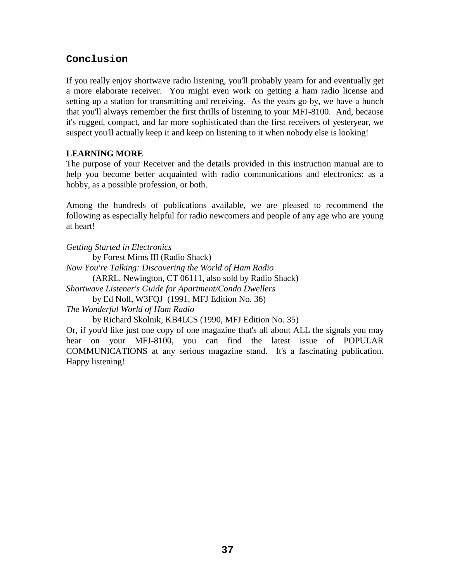## **Conclusion**

If you really enjoy shortwave radio listening, you'll probably yearn for and eventually get a more elaborate receiver. You might even work on getting a ham radio license and setting up a station for transmitting and receiving. As the years go by, we have a hunch that you'll always remember the first thrills of listening to your MFJ-8100. And, because it's rugged, compact, and far more sophisticated than the first receivers of yesteryear, we suspect you'll actually keep it and keep on listening to it when nobody else is looking!

## **LEARNING MORE**

The purpose of your Receiver and the details provided in this instruction manual are to help you become better acquainted with radio communications and electronics: as a hobby, as a possible profession, or both.

Among the hundreds of publications available, we are pleased to recommend the following as especially helpful for radio newcomers and people of any age who are young at heart!

*Getting Started in Electronics* by Forest Mims III (Radio Shack) *Now You're Talking: Discovering the World of Ham Radio* (ARRL, Newington, CT 06111, also sold by Radio Shack) *Shortwave Listener's Guide for Apartment/Condo Dwellers*  by Ed Noll, W3FQJ (1991, MFJ Edition No. 36) *The Wonderful World of Ham Radio* by Richard Skolnik, KB4LCS (1990, MFJ Edition No. 35)

Or, if you'd like just one copy of one magazine that's all about ALL the signals you may hear on your MFJ-8100, you can find the latest issue of POPULAR COMMUNICATIONS at any serious magazine stand. It's a fascinating publication. Happy listening!